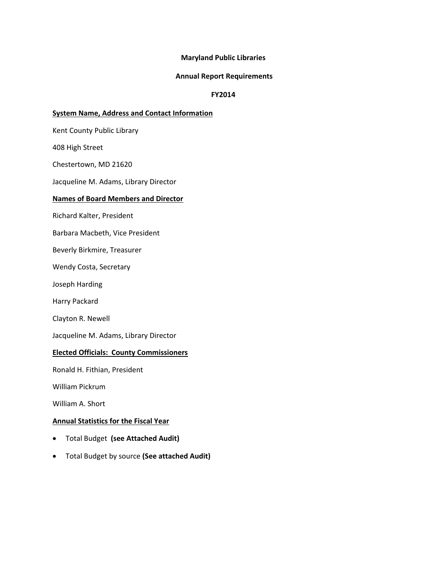### **Maryland Public Libraries**

#### **Annual Report Requirements**

## **FY2014**

### **System Name, Address and Contact Information**

Kent County Public Library

408 High Street

Chestertown, MD 21620

Jacqueline M. Adams, Library Director

### **Names of Board Members and Director**

Richard Kalter, President

Barbara Macbeth, Vice President

Beverly Birkmire, Treasurer

Wendy Costa, Secretary

Joseph Harding

Harry Packard

Clayton R. Newell

Jacqueline M. Adams, Library Director

### **Elected Officials: County Commissioners**

Ronald H. Fithian, President

William Pickrum

William A. Short

### **Annual Statistics for the Fiscal Year**

- Total Budget **(see Attached Audit)**
- Total Budget by source **(See attached Audit)**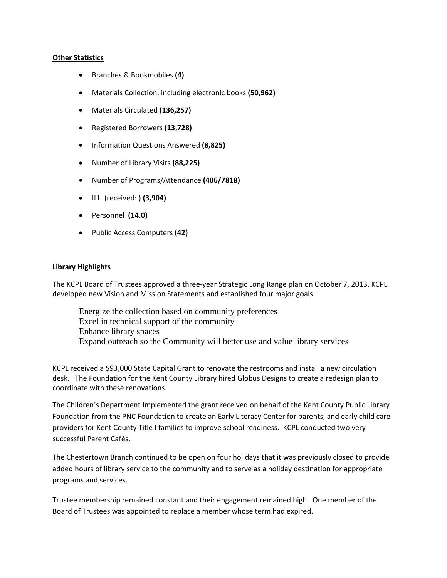### **Other Statistics**

- Branches & Bookmobiles **(4)**
- Materials Collection, including electronic books **(50,962)**
- Materials Circulated **(136,257)**
- Registered Borrowers **(13,728)**
- Information Questions Answered **(8,825)**
- Number of Library Visits **(88,225)**
- Number of Programs/Attendance **(406/7818)**
- ILL (received: ) **(3,904)**
- Personnel **(14.0)**
- Public Access Computers **(42)**

### **Library Highlights**

The KCPL Board of Trustees approved a three‐year Strategic Long Range plan on October 7, 2013. KCPL developed new Vision and Mission Statements and established four major goals:

 Energize the collection based on community preferences Excel in technical support of the community Enhance library spaces Expand outreach so the Community will better use and value library services

KCPL received a \$93,000 State Capital Grant to renovate the restrooms and install a new circulation desk. The Foundation for the Kent County Library hired Globus Designs to create a redesign plan to coordinate with these renovations.

The Children's Department Implemented the grant received on behalf of the Kent County Public Library Foundation from the PNC Foundation to create an Early Literacy Center for parents, and early child care providers for Kent County Title I families to improve school readiness. KCPL conducted two very successful Parent Cafés.

The Chestertown Branch continued to be open on four holidays that it was previously closed to provide added hours of library service to the community and to serve as a holiday destination for appropriate programs and services.

Trustee membership remained constant and their engagement remained high. One member of the Board of Trustees was appointed to replace a member whose term had expired.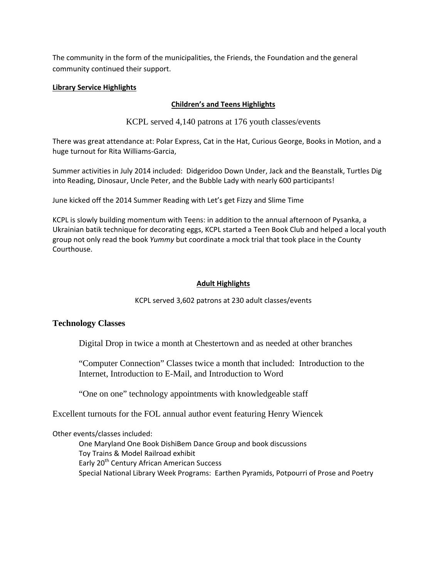The community in the form of the municipalities, the Friends, the Foundation and the general community continued their support.

# **Library Service Highlights**

# **Children's and Teens Highlights**

KCPL served 4,140 patrons at 176 youth classes/events

There was great attendance at: Polar Express, Cat in the Hat, Curious George, Books in Motion, and a huge turnout for Rita Williams‐Garcia,

Summer activities in July 2014 included: Didgeridoo Down Under, Jack and the Beanstalk, Turtles Dig into Reading, Dinosaur, Uncle Peter, and the Bubble Lady with nearly 600 participants!

June kicked off the 2014 Summer Reading with Let's get Fizzy and Slime Time

KCPL is slowly building momentum with Teens: in addition to the annual afternoon of Pysanka, a Ukrainian batik technique for decorating eggs, KCPL started a Teen Book Club and helped a local youth group not only read the book *Yummy* but coordinate a mock trial that took place in the County Courthouse.

# **Adult Highlights**

KCPL served 3,602 patrons at 230 adult classes/events

# **Technology Classes**

Digital Drop in twice a month at Chestertown and as needed at other branches

"Computer Connection" Classes twice a month that included: Introduction to the Internet, Introduction to E-Mail, and Introduction to Word

"One on one" technology appointments with knowledgeable staff

Excellent turnouts for the FOL annual author event featuring Henry Wiencek

Other events/classes included:

 One Maryland One Book DishiBem Dance Group and book discussions Toy Trains & Model Railroad exhibit Early 20<sup>th</sup> Century African American Success Special National Library Week Programs: Earthen Pyramids, Potpourri of Prose and Poetry